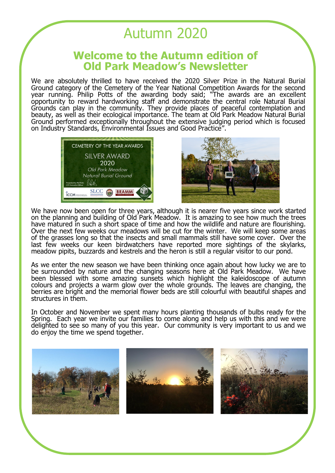## Autumn 2020

## **Welcome to the Autumn edition of Old Park Meadow's Newsletter**

We are absolutely thrilled to have received the 2020 Silver Prize in the Natural Burial Ground category of the Cemetery of the Year National Competition Awards for the second year running. Philip Potts of the awarding body said; "The awards are an excellent opportunity to reward hardworking staff and demonstrate the central role Natural Burial Grounds can play in the community. They provide places of peaceful contemplation and beauty, as well as their ecological importance. The team at Old Park Meadow Natural Burial Ground performed exceptionally throughout the extensive judging period which is focused on Industry Standards, Environmental Issues and Good Practice".





We have now been open for three years, although it is nearer five years since work started on the planning and building of Old Park Meadow. It is amazing to see how much the trees have matured in such a short space of time and how the wildlife and nature are flourishing. Over the next few weeks our meadows will be cut for the winter. We will keep some areas of the grasses long so that the insects and small mammals still have some cover. Over the last few weeks our keen birdwatchers have reported more sightings of the skylarks, meadow pipits, buzzards and kestrels and the heron is still a regular visitor to our pond.

As we enter the new season we have been thinking once again about how lucky we are to be surrounded by nature and the changing seasons here at Old Park Meadow. We have been blessed with some amazing sunsets which highlight the kaleidoscope of autumn colours and projects a warm glow over the whole grounds. The leaves are changing, the berries are bright and the memorial flower beds are still colourful with beautiful shapes and structures in them.

In October and November we spent many hours planting thousands of bulbs ready for the Spring. Each year we invite our families to come along and help us with this and we were delighted to see so many of you this year. Our community is very important to us and we do enjoy the time we spend together.